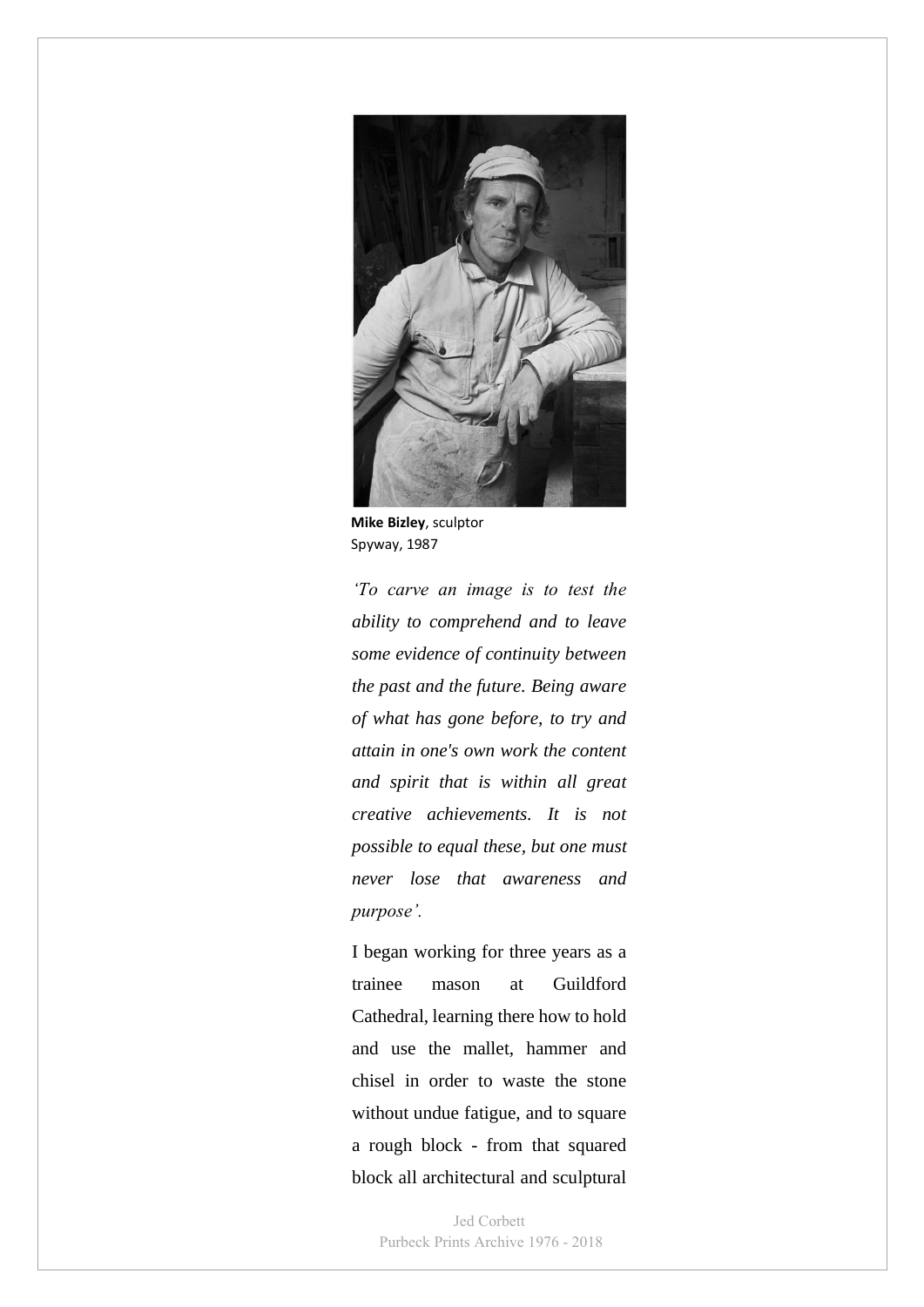

 **Mike Bizley**, sculptor Spyway, 1987

*'To carve an image is to test the ability to comprehend and to leave some evidence of continuity between the past and the future. Being aware of what has gone before, to try and attain in one's own work the content and spirit that is within all great creative achievements. It is not possible to equal these, but one must never lose that awareness and purpose'.*

I began working for three years as a trainee mason at Guildford Cathedral, learning there how to hold and use the mallet, hammer and chisel in order to waste the stone without undue fatigue, and to square a rough block - from that squared block all architectural and sculptural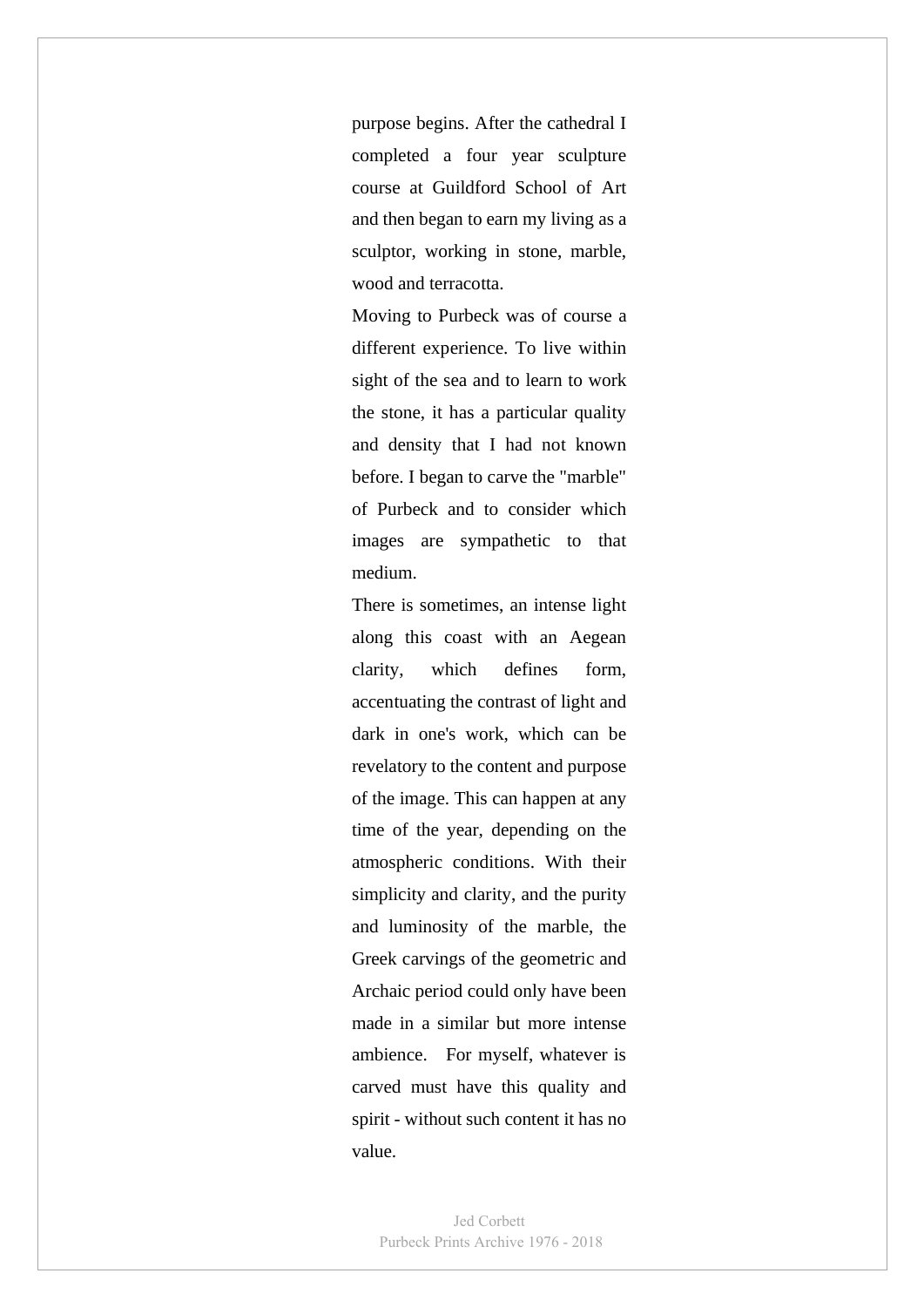purpose begins. After the cathedral I completed a four year sculpture course at Guildford School of Art and then began to earn my living as a sculptor, working in stone, marble, wood and terracotta.

Moving to Purbeck was of course a different experience. To live within sight of the sea and to learn to work the stone, it has a particular quality and density that I had not known before. I began to carve the "marble" of Purbeck and to consider which images are sympathetic to that medium.

There is sometimes, an intense light along this coast with an Aegean clarity, which defines form, accentuating the contrast of light and dark in one's work, which can be revelatory to the content and purpose of the image. This can happen at any time of the year, depending on the atmospheric conditions. With their simplicity and clarity, and the purity and luminosity of the marble, the Greek carvings of the geometric and Archaic period could only have been made in a similar but more intense ambience. For myself, whatever is carved must have this quality and spirit - without such content it has no value.